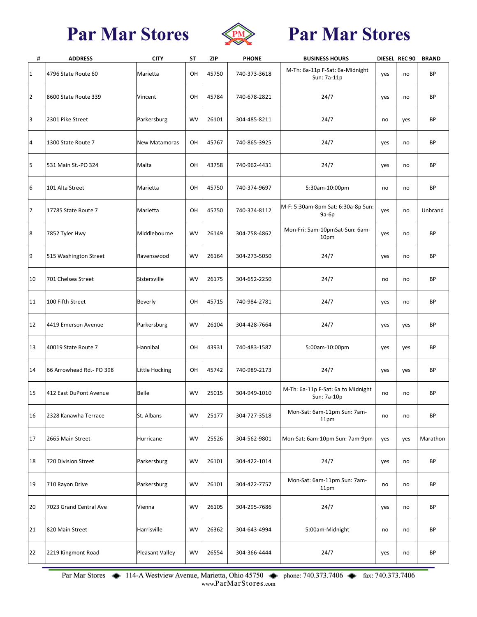

# **Par Mar Stores**

| #              | <b>ADDRESS</b>            | <b>CITY</b>            | SΤ        | <b>ZIP</b> | <b>PHONE</b> | <b>BUSINESS HOURS</b>                             |     | DIESEL REC 90 | <b>BRAND</b> |
|----------------|---------------------------|------------------------|-----------|------------|--------------|---------------------------------------------------|-----|---------------|--------------|
| 1              | 4796 State Route 60       | Marietta               | OH        | 45750      | 740-373-3618 | M-Th: 6a-11p F-Sat: 6a-Midnight<br>Sun: 7a-11p    | yes | no            | BP           |
| 2              | 8600 State Route 339      | Vincent                | OH        | 45784      | 740-678-2821 | 24/7                                              | yes | no            | <b>BP</b>    |
| 3              | 2301 Pike Street          | Parkersburg            | WV        | 26101      | 304-485-8211 | 24/7                                              | no  | yes           | BP           |
| $\overline{4}$ | 1300 State Route 7        | <b>New Matamoras</b>   | OH        | 45767      | 740-865-3925 | 24/7                                              | yes | no            | <b>BP</b>    |
| 5              | 531 Main St.-PO 324       | Malta                  | OH        | 43758      | 740-962-4431 | 24/7                                              | yes | no            | BP           |
| 6              | 101 Alta Street           | Marietta               | OH        | 45750      | 740-374-9697 | 5:30am-10:00pm                                    | no  | no            | BP           |
| $\overline{7}$ | 17785 State Route 7       | Marietta               | OH        | 45750      | 740-374-8112 | M-F: 5:30am-8pm Sat: 6:30a-8p Sun:<br>9a-6p       | yes | no            | Unbrand      |
| 8              | 7852 Tyler Hwy            | Middlebourne           | <b>WV</b> | 26149      | 304-758-4862 | Mon-Fri: 5am-10pmSat-Sun: 6am-<br>10pm            | yes | no            | <b>BP</b>    |
| 9              | 515 Washington Street     | Ravenswood             | <b>WV</b> | 26164      | 304-273-5050 | 24/7                                              | yes | no            | BP           |
| 10             | 701 Chelsea Street        | Sistersville           | <b>WV</b> | 26175      | 304-652-2250 | 24/7                                              | no  | no            | BP           |
| 11             | 100 Fifth Street          | Beverly                | OН        | 45715      | 740-984-2781 | 24/7                                              | yes | no            | <b>BP</b>    |
| 12             | 4419 Emerson Avenue       | Parkersburg            | <b>WV</b> | 26104      | 304-428-7664 | 24/7                                              | yes | yes           | BP           |
| 13             | 40019 State Route 7       | Hannibal               | OH        | 43931      | 740-483-1587 | 5:00am-10:00pm                                    | yes | yes           | BP           |
| 14             | 66 Arrowhead Rd. - PO 398 | Little Hocking         | OH        | 45742      | 740-989-2173 | 24/7                                              | yes | yes           | BP           |
| 15             | 412 East DuPont Avenue    | Belle                  | <b>WV</b> | 25015      | 304-949-1010 | M-Th: 6a-11p F-Sat: 6a to Midnight<br>Sun: 7a-10p | no  | no            | BP           |
| 16             | 2328 Kanawha Terrace      | St. Albans             | <b>WV</b> | 25177      | 304-727-3518 | Mon-Sat: 6am-11pm Sun: 7am-<br>11pm               | no  | no            | BP           |
| 17             | 2665 Main Street          | Hurricane              | WV        | 25526      | 304-562-9801 | Mon-Sat: 6am-10pm Sun: 7am-9pm                    | yes | yes           | Marathon     |
| 18             | 720 Division Street       | Parkersburg            | WV        | 26101      | 304-422-1014 | 24/7                                              | yes | no            | BP           |
| 19             | 710 Rayon Drive           | Parkersburg            | WV        | 26101      | 304-422-7757 | Mon-Sat: 6am-11pm Sun: 7am-<br>11pm               | no  | no            | BP           |
| 20             | 7023 Grand Central Ave    | Vienna                 | <b>WV</b> | 26105      | 304-295-7686 | 24/7                                              | yes | no            | BP           |
| 21             | 820 Main Street           | Harrisville            | <b>WV</b> | 26362      | 304-643-4994 | 5:00am-Midnight                                   | no  | no            | BP           |
| 22             | 2219 Kingmont Road        | <b>Pleasant Valley</b> | WV        | 26554      | 304-366-4444 | 24/7                                              | yes | no            | BP           |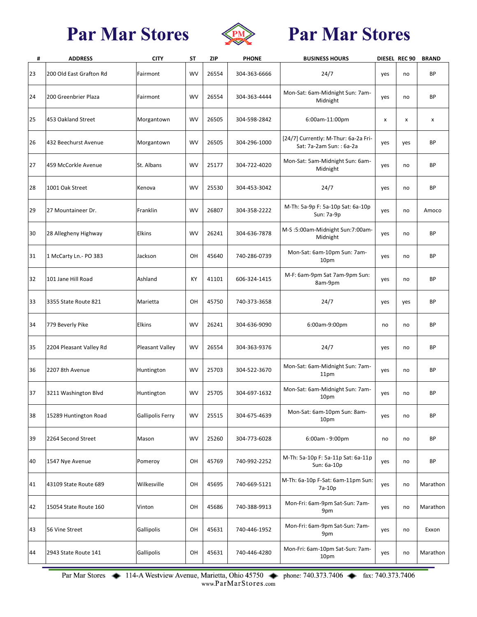

# **Par Mar Stores**

| #  | <b>ADDRESS</b>          | <b>CITY</b>             | <b>ST</b> | <b>ZIP</b> | <b>PHONE</b> | <b>BUSINESS HOURS</b>                                            |     | DIESEL REC 90 | <b>BRAND</b> |
|----|-------------------------|-------------------------|-----------|------------|--------------|------------------------------------------------------------------|-----|---------------|--------------|
| 23 | 200 Old East Grafton Rd | Fairmont                | WV        | 26554      | 304-363-6666 | 24/7                                                             | yes | no            | BP           |
| 24 | 200 Greenbrier Plaza    | Fairmont                | WV        | 26554      | 304-363-4444 | Mon-Sat: 6am-Midnight Sun: 7am-<br>Midnight                      | yes | no            | <b>BP</b>    |
| 25 | 453 Oakland Street      | Morgantown              | <b>WV</b> | 26505      | 304-598-2842 | 6:00am-11:00pm                                                   | X   | x             | x            |
| 26 | 432 Beechurst Avenue    | Morgantown              | WV        | 26505      | 304-296-1000 | [24/7] Currently: M-Thur: 6a-2a Fri-<br>Sat: 7a-2am Sun: : 6a-2a | yes | yes           | BP           |
| 27 | 459 McCorkle Avenue     | St. Albans              | <b>WV</b> | 25177      | 304-722-4020 | Mon-Sat: 5am-Midnight Sun: 6am-<br>Midnight                      | yes | no            | BP           |
| 28 | 1001 Oak Street         | Kenova                  | <b>WV</b> | 25530      | 304-453-3042 | 24/7                                                             | yes | no            | BP           |
| 29 | 27 Mountaineer Dr.      | Franklin                | <b>WV</b> | 26807      | 304-358-2222 | M-Th: 5a-9p F: 5a-10p Sat: 6a-10p<br>Sun: 7a-9p                  | yes | no            | Amoco        |
| 30 | 28 Allegheny Highway    | <b>Elkins</b>           | <b>WV</b> | 26241      | 304-636-7878 | M-S:5:00am-Midnight Sun:7:00am-<br>Midnight                      | yes | no            | BP           |
| 31 | 1 McCarty Ln.- PO 383   | Jackson                 | OH        | 45640      | 740-286-0739 | Mon-Sat: 6am-10pm Sun: 7am-<br>10pm                              | yes | no            | <b>BP</b>    |
| 32 | 101 Jane Hill Road      | Ashland                 | KY        | 41101      | 606-324-1415 | M-F: 6am-9pm Sat 7am-9pm Sun:<br>8am-9pm                         | yes | no            | BP           |
| 33 | 3355 State Route 821    | Marietta                | OH        | 45750      | 740-373-3658 | 24/7                                                             | yes | yes           | <b>BP</b>    |
| 34 | 779 Beverly Pike        | Elkins                  | <b>WV</b> | 26241      | 304-636-9090 | 6:00am-9:00pm                                                    | no  | no            | BP           |
| 35 | 2204 Pleasant Valley Rd | Pleasant Valley         | WV        | 26554      | 304-363-9376 | 24/7                                                             | yes | no            | <b>BP</b>    |
| 36 | 2207 8th Avenue         | Huntington              | WV        | 25703      | 304-522-3670 | Mon-Sat: 6am-Midnight Sun: 7am-<br>11pm                          | yes | no            | BP           |
| 37 | 3211 Washington Blvd    | Huntington              | <b>WV</b> | 25705      | 304-697-1632 | Mon-Sat: 6am-Midnight Sun: 7am-<br>10pm                          | yes | no            | <b>BP</b>    |
| 38 | 15289 Huntington Road   | <b>Gallipolis Ferry</b> | WV        | 25515      | 304-675-4639 | Mon-Sat: 6am-10pm Sun: 8am-<br>10pm                              | yes | no            | BP           |
| 39 | 2264 Second Street      | Mason                   | WV        | 25260      | 304-773-6028 | 6:00am - 9:00pm                                                  | no  | no            | BP           |
| 40 | 1547 Nye Avenue         | Pomeroy                 | OH        | 45769      | 740-992-2252 | M-Th: 5a-10p F: 5a-11p Sat: 6a-11p<br>Sun: 6a-10p                | yes | no            | BP           |
| 41 | 43109 State Route 689   | Wilkesville             | OH        | 45695      | 740-669-5121 | M-Th: 6a-10p F-Sat: 6am-11pm Sun:<br>7a-10p                      | yes | no            | Marathon     |
| 42 | 15054 State Route 160   | Vinton                  | OH        | 45686      | 740-388-9913 | Mon-Fri: 6am-9pm Sat-Sun: 7am-<br>9pm                            | yes | no            | Marathon     |
| 43 | 56 Vine Street          | Gallipolis              | OH        | 45631      | 740-446-1952 | Mon-Fri: 6am-9pm Sat-Sun: 7am-<br>9pm                            | yes | no            | Exxon        |
| 44 | 2943 State Route 141    | Gallipolis              | OH        | 45631      | 740-446-4280 | Mon-Fri: 6am-10pm Sat-Sun: 7am-<br>10pm                          | yes | no            | Marathon     |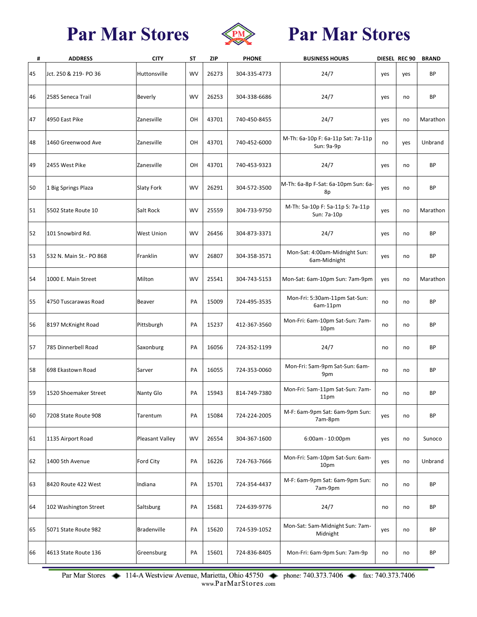

# **Par Mar Stores**

| #  | <b>ADDRESS</b>          | <b>CITY</b>        | SΤ        | <b>ZIP</b> | <b>PHONE</b> | <b>BUSINESS HOURS</b>                            |     | DIESEL REC 90 | <b>BRAND</b> |
|----|-------------------------|--------------------|-----------|------------|--------------|--------------------------------------------------|-----|---------------|--------------|
| 45 | Jct. 250 & 219- PO 36   | Huttonsville       | <b>WV</b> | 26273      | 304-335-4773 | 24/7                                             | yes | yes           | BP           |
| 46 | 2585 Seneca Trail       | <b>Beverly</b>     | <b>WV</b> | 26253      | 304-338-6686 | 24/7                                             | yes | no            | <b>BP</b>    |
| 47 | 4950 East Pike          | Zanesville         | OH        | 43701      | 740-450-8455 | 24/7                                             | yes | no            | Marathon     |
| 48 | 1460 Greenwood Ave      | Zanesville         | OH        | 43701      | 740-452-6000 | M-Th: 6a-10p F: 6a-11p Sat: 7a-11p<br>Sun: 9a-9p | no  | yes           | Unbrand      |
| 49 | 2455 West Pike          | Zanesville         | OH        | 43701      | 740-453-9323 | 24/7                                             | yes | no            | BP           |
| 50 | 1 Big Springs Plaza     | <b>Slaty Fork</b>  | <b>WV</b> | 26291      | 304-572-3500 | M-Th: 6a-8p F-Sat: 6a-10pm Sun: 6a-<br>8p        | yes | no            | BP           |
| 51 | 5502 State Route 10     | Salt Rock          | <b>WV</b> | 25559      | 304-733-9750 | M-Th: 5a-10p F: 5a-11p S: 7a-11p<br>Sun: 7a-10p  | yes | no            | Marathon     |
| 52 | 101 Snowbird Rd.        | <b>West Union</b>  | <b>WV</b> | 26456      | 304-873-3371 | 24/7                                             | yes | no            | <b>BP</b>    |
| 53 | 532 N. Main St.- PO 868 | Franklin           | <b>WV</b> | 26807      | 304-358-3571 | Mon-Sat: 4:00am-Midnight Sun:<br>6am-Midnight    | yes | no            | <b>BP</b>    |
| 54 | 1000 E. Main Street     | Milton             | <b>WV</b> | 25541      | 304-743-5153 | Mon-Sat: 6am-10pm Sun: 7am-9pm                   | yes | no            | Marathon     |
| 55 | 4750 Tuscarawas Road    | <b>Beaver</b>      | PA        | 15009      | 724-495-3535 | Mon-Fri: 5:30am-11pm Sat-Sun:<br>6am-11pm        | no  | no            | BP           |
| 56 | 8197 McKnight Road      | Pittsburgh         | PA        | 15237      | 412-367-3560 | Mon-Fri: 6am-10pm Sat-Sun: 7am-<br>10pm          | no  | no            | <b>BP</b>    |
| 57 | 785 Dinnerbell Road     | Saxonburg          | PA        | 16056      | 724-352-1199 | 24/7                                             | no  | no            | <b>BP</b>    |
| 58 | 698 Ekastown Road       | Sarver             | PA        | 16055      | 724-353-0060 | Mon-Fri: 5am-9pm Sat-Sun: 6am-<br>9pm            | no  | no            | <b>BP</b>    |
| 59 | 1520 Shoemaker Street   | Nanty Glo          | PA        | 15943      | 814-749-7380 | Mon-Fri: 5am-11pm Sat-Sun: 7am-<br>11pm          | no  | no            | BP           |
| 60 | 7208 State Route 908    | Tarentum           | PA        | 15084      | 724-224-2005 | M-F: 6am-9pm Sat: 6am-9pm Sun:<br>7am-8pm        | yes | no            | <b>BP</b>    |
| 61 | 1135 Airport Road       | Pleasant Valley    | WV        | 26554      | 304-367-1600 | $6:00am - 10:00pm$                               | yes | no            | Sunoco       |
| 62 | 1400 5th Avenue         | Ford City          | PA        | 16226      | 724-763-7666 | Mon-Fri: 5am-10pm Sat-Sun: 6am-<br>10pm          | yes | no            | Unbrand      |
| 63 | 8420 Route 422 West     | Indiana            | PA        | 15701      | 724-354-4437 | M-F: 6am-9pm Sat: 6am-9pm Sun:<br>7am-9pm        | no  | no            | <b>BP</b>    |
| 64 | 102 Washington Street   | Saltsburg          | PA        | 15681      | 724-639-9776 | 24/7                                             | no  | no            | BP           |
| 65 | 5071 State Route 982    | <b>Bradenville</b> | PA        | 15620      | 724-539-1052 | Mon-Sat: 5am-Midnight Sun: 7am-<br>Midnight      | yes | no            | BP           |
| 66 | 4613 State Route 136    | Greensburg         | PA        | 15601      | 724-836-8405 | Mon-Fri: 6am-9pm Sun: 7am-9p                     | no  | no            | BP           |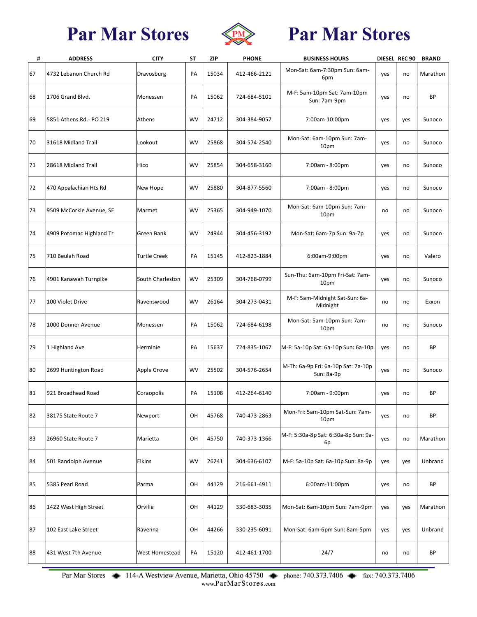

# **Par Mar Stores**

| #  | <b>ADDRESS</b>           | <b>CITY</b>         | ST        | <b>ZIP</b> | <b>PHONE</b> | <b>BUSINESS HOURS</b>                             |     | DIESEL REC 90 | <b>BRAND</b> |
|----|--------------------------|---------------------|-----------|------------|--------------|---------------------------------------------------|-----|---------------|--------------|
| 67 | 4732 Lebanon Church Rd   | Dravosburg          | PA        | 15034      | 412-466-2121 | Mon-Sat: 6am-7:30pm Sun: 6am-<br>6pm              | yes | no            | Marathon     |
| 68 | 1706 Grand Blvd.         | Monessen            | PA        | 15062      | 724-684-5101 | M-F: 5am-10pm Sat: 7am-10pm<br>Sun: 7am-9pm       | yes | no            | <b>BP</b>    |
| 69 | 5851 Athens Rd.- PO 219  | Athens              | WV        | 24712      | 304-384-9057 | 7:00am-10:00pm                                    | yes | yes           | Sunoco       |
| 70 | 31618 Midland Trail      | Lookout             | WV        | 25868      | 304-574-2540 | Mon-Sat: 6am-10pm Sun: 7am-<br>10pm               | yes | no            | Sunoco       |
| 71 | 28618 Midland Trail      | Hico                | WV        | 25854      | 304-658-3160 | 7:00am - 8:00pm                                   | yes | no            | Sunoco       |
| 72 | 470 Appalachian Hts Rd   | New Hope            | WV        | 25880      | 304-877-5560 | 7:00am - 8:00pm                                   | yes | no            | Sunoco       |
| 73 | 9509 McCorkle Avenue, SE | Marmet              | WV        | 25365      | 304-949-1070 | Mon-Sat: 6am-10pm Sun: 7am-<br>10pm               | no  | no            | Sunoco       |
| 74 | 4909 Potomac Highland Tr | Green Bank          | <b>WV</b> | 24944      | 304-456-3192 | Mon-Sat: 6am-7p Sun: 9a-7p                        | yes | no            | Sunoco       |
| 75 | 710 Beulah Road          | <b>Turtle Creek</b> | PA        | 15145      | 412-823-1884 | 6:00am-9:00pm                                     | yes | no            | Valero       |
| 76 | 4901 Kanawah Turnpike    | South Charleston    | WV        | 25309      | 304-768-0799 | Sun-Thu: 6am-10pm Fri-Sat: 7am-<br>10pm           | yes | no            | Sunoco       |
| 77 | 100 Violet Drive         | Ravenswood          | WV        | 26164      | 304-273-0431 | M-F: 5am-Midnight Sat-Sun: 6a-<br>Midnight        | no  | no            | Exxon        |
| 78 | 1000 Donner Avenue       | Monessen            | PA        | 15062      | 724-684-6198 | Mon-Sat: 5am-10pm Sun: 7am-<br>10pm               | no  | no            | Sunoco       |
| 79 | 1 Highland Ave           | Herminie            | PA        | 15637      | 724-835-1067 | M-F: 5a-10p Sat: 6a-10p Sun: 6a-10p               | yes | no            | ВP           |
| 80 | 2699 Huntington Road     | Apple Grove         | WV        | 25502      | 304-576-2654 | M-Th: 6a-9p Fri: 6a-10p Sat: 7a-10p<br>Sun: 8a-9p | yes | no            | Sunoco       |
| 81 | 921 Broadhead Road       | Coraopolis          | PA        | 15108      | 412-264-6140 | 7:00am - 9:00pm                                   | yes | no            | <b>BP</b>    |
| 82 | 38175 State Route 7      | Newport             | OН        | 45768      | 740-473-2863 | Mon-Fri: 5am-10pm Sat-Sun: 7am-<br>10pm           | yes | no            | ВP           |
| 83 | 26960 State Route 7      | Marietta            | OH        | 45750      | 740-373-1366 | M-F: 5:30a-8p Sat: 6:30a-8p Sun: 9a-<br>6p        | yes | no            | Marathon     |
| 84 | 501 Randolph Avenue      | <b>Elkins</b>       | WV        | 26241      | 304-636-6107 | M-F: 5a-10p Sat: 6a-10p Sun: 8a-9p                | yes | yes           | Unbrand      |
| 85 | 5385 Pearl Road          | Parma               | OН        | 44129      | 216-661-4911 | 6:00am-11:00pm                                    | yes | no            | ВP           |
| 86 | 1422 West High Street    | Orville             | OН        | 44129      | 330-683-3035 | Mon-Sat: 6am-10pm Sun: 7am-9pm                    | yes | yes           | Marathon     |
| 87 | 102 East Lake Street     | Ravenna             | OH        | 44266      | 330-235-6091 | Mon-Sat: 6am-6pm Sun: 8am-5pm                     | yes | yes           | Unbrand      |
| 88 | 431 West 7th Avenue      | West Homestead      | PA        | 15120      | 412-461-1700 | 24/7                                              | no  | no            | ВP           |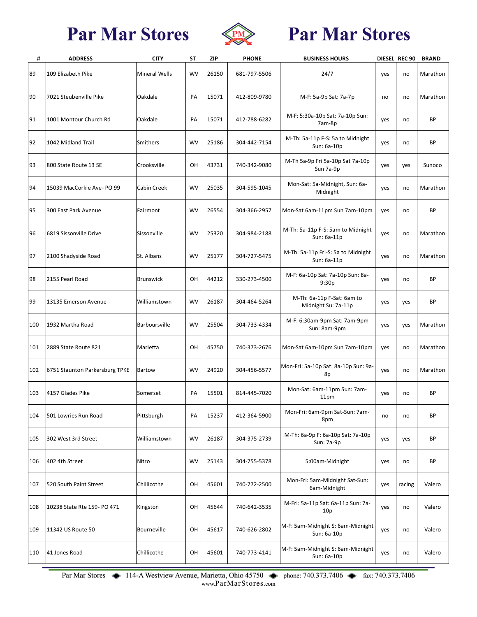

# **Par Mar Stores**

| #   | <b>ADDRESS</b>                 | <b>CITY</b>          | ST | ZIP   | <b>PHONE</b> | <b>BUSINESS HOURS</b>                             |     | DIESEL REC 90 | <b>BRAND</b> |
|-----|--------------------------------|----------------------|----|-------|--------------|---------------------------------------------------|-----|---------------|--------------|
| 89  | 109 Elizabeth Pike             | <b>Mineral Wells</b> | WV | 26150 | 681-797-5506 | 24/7                                              | yes | no            | Marathon     |
| 90  | 7021 Steubenville Pike         | Oakdale              | PA | 15071 | 412-809-9780 | M-F: 5a-9p Sat: 7a-7p                             | no  | no            | Marathon     |
| 91  | 1001 Montour Church Rd         | Oakdale              | PA | 15071 | 412-788-6282 | M-F: 5:30a-10p Sat: 7a-10p Sun:<br>7am-8p         | yes | no            | BP           |
| 92  | 1042 Midland Trail             | <b>Smithers</b>      | WV | 25186 | 304-442-7154 | M-Th: 5a-11p F-S: 5a to Midnight<br>Sun: 6a-10p   | yes | no            | <b>BP</b>    |
| 93  | 800 State Route 13 SE          | Crooksville          | OH | 43731 | 740-342-9080 | M-Th 5a-9p Fri 5a-10p Sat 7a-10p<br>Sun 7a-9p     | yes | yes           | Sunoco       |
| 94  | 15039 MacCorkle Ave- PO 99     | <b>Cabin Creek</b>   | WV | 25035 | 304-595-1045 | Mon-Sat: 5a-Midnight, Sun: 6a-<br>Midnight        | yes | no            | Marathon     |
| 95  | 300 East Park Avenue           | Fairmont             | WV | 26554 | 304-366-2957 | Mon-Sat 6am-11pm Sun 7am-10pm                     | yes | no            | ВP           |
| 96  | 6819 Sissonville Drive         | Sissonville          | WV | 25320 | 304-984-2188 | M-Th: 5a-11p F-S: 5am to Midnight<br>Sun: 6a-11p  | yes | no            | Marathon     |
| 97  | 2100 Shadyside Road            | St. Albans           | WV | 25177 | 304-727-5475 | M-Th: 5a-11p Fri-S: 5a to Midnight<br>Sun: 6a-11p | yes | no            | Marathon     |
| 98  | 2155 Pearl Road                | <b>Brunswick</b>     | OH | 44212 | 330-273-4500 | M-F: 6a-10p Sat: 7a-10p Sun: 8a-<br>9:30p         | yes | no            | <b>BP</b>    |
| 99  | 13135 Emerson Avenue           | Williamstown         | WV | 26187 | 304-464-5264 | M-Th: 6a-11p F-Sat: 6am to<br>Midnight Su: 7a-11p | yes | yes           | BP           |
| 100 | 1932 Martha Road               | Barboursville        | WV | 25504 | 304-733-4334 | M-F: 6:30am-9pm Sat: 7am-9pm<br>Sun: 8am-9pm      | yes | yes           | Marathon     |
| 101 | 2889 State Route 821           | Marietta             | OН | 45750 | 740-373-2676 | Mon-Sat 6am-10pm Sun 7am-10pm                     | yes | no            | Marathon     |
| 102 | 6751 Staunton Parkersburg TPKE | <b>Bartow</b>        | WV | 24920 | 304-456-5577 | Mon-Fri: 5a-10p Sat: 8a-10p Sun: 9a-<br>8p        | yes | no            | Marathon     |
| 103 | 4157 Glades Pike               | Somerset             | PA | 15501 | 814-445-7020 | Mon-Sat: 6am-11pm Sun: 7am-<br>11pm               | yes | no            | ВP           |
| 104 | 501 Lowries Run Road           | Pittsburgh           | PA | 15237 | 412-364-5900 | Mon-Fri: 6am-9pm Sat-Sun: 7am-<br>8pm             | no  | no            | ВP           |
| 105 | 302 West 3rd Street            | Williamstown         | WV | 26187 | 304-375-2739 | M-Th: 6a-9p F: 6a-10p Sat: 7a-10p<br>Sun: 7a-9p   | yes | yes           | ВP           |
| 106 | 402 4th Street                 | Nitro                | WV | 25143 | 304-755-5378 | 5:00am-Midnight                                   | yes | no            | ВP           |
| 107 | 520 South Paint Street         | Chillicothe          | OH | 45601 | 740-772-2500 | Mon-Fri: 5am-Midnight Sat-Sun:<br>6am-Midnight    | yes | racing        | Valero       |
| 108 | 10238 State Rte 159- PO 471    | Kingston             | OН | 45644 | 740-642-3535 | M-Fri: 5a-11p Sat: 6a-11p Sun: 7a-<br>10p         | yes | no            | Valero       |
| 109 | 11342 US Route 50              | Bourneville          | OH | 45617 | 740-626-2802 | M-F: 5am-Midnight S: 6am-Midnight<br>Sun: 6a-10p  | yes | no            | Valero       |
| 110 | 41 Jones Road                  | Chillicothe          | OН | 45601 | 740-773-4141 | M-F: 5am-Midnight S: 6am-Midnight<br>Sun: 6a-10p  | yes | no            | Valero       |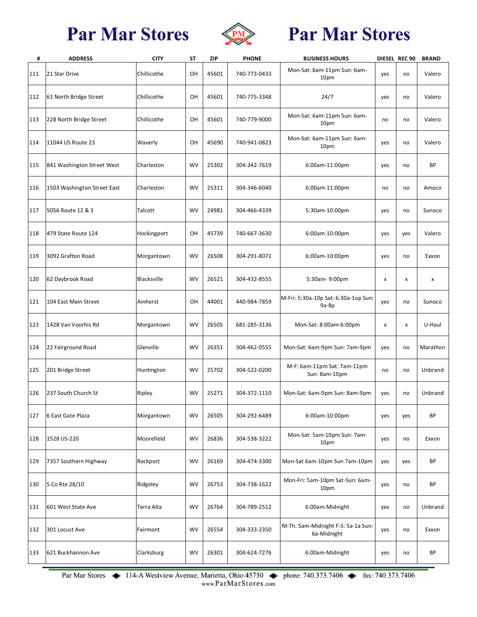

# **Par Mar Stores**

| #   | <b>ADDRESS</b>              | <b>CITY</b> | SΤ        | <b>ZIP</b> | <b>PHONE</b> | <b>BUSINESS HOURS</b>                             |     | DIESEL REC 90 | <b>BRAND</b> |
|-----|-----------------------------|-------------|-----------|------------|--------------|---------------------------------------------------|-----|---------------|--------------|
| 111 | 21 Star Drive               | Chillicothe | OН        | 45601      | 740-773-0433 | Mon-Sat: 6am-11pm Sun: 6am-<br>10pm               | yes | no            | Valero       |
| 112 | 61 North Bridge Street      | Chillicothe | OH        | 45601      | 740-775-3348 | 24/7                                              | yes | no            | Valero       |
| 113 | 228 North Bridge Street     | Chillicothe | OН        | 45601      | 740-779-9000 | Mon-Sat: 6am-11pm Sun: 6am-<br>10pm               | no  | no            | Valero       |
| 114 | 11044 US Route 23           | Waverly     | OH        | 45690      | 740-941-0823 | Mon-Sat: 6am-11pm Sun: 6am-<br>10pm               | yes | no            | Valero       |
| 115 | 841 Washington Street West  | Charleston  | <b>WV</b> | 25302      | 304-342-7619 | 6:00am-11:00pm                                    | yes | no            | ВP           |
| 116 | 1503 Washington Street East | Charleston  | <b>WV</b> | 25311      | 304-346-6040 | 6:00am-11:00pm                                    | no  | no            | Amoco        |
| 117 | 5056 Route 12 & 3           | Talcott     | <b>WV</b> | 24981      | 304-466-4339 | 5:30am-10:00pm                                    | yes | no            | Sunoco       |
| 118 | 479 State Route 124         | Hockingport | OH        | 45739      | 740-667-3630 | 6:00am-10:00pm                                    | yes | yes           | Valero       |
| 119 | 3092 Grafton Road           | Morgantown  | <b>WV</b> | 26508      | 304-291-8071 | 6:00am-10:00pm                                    | yes | no            | Exxon        |
| 120 | 62 Daybrook Road            | Blacksville | <b>WV</b> | 26521      | 304-432-8555 | 5:30am-9:00pm                                     | x   | x             | x            |
| 121 | 104 East Main Street        | Amherst     | OН        | 44001      | 440-984-7859 | M-Fri: 5:30a-10p Sat: 6:30a-1op Sun:<br>$9a-8p$   | yes | no            | Sunoco       |
| 123 | 1428 Van Voorhis Rd         | Morgantown  | <b>WV</b> | 26505      | 681-285-3136 | Mon-Sat: 8:00am-6:00pm                            | x   | x             | U-Haul       |
| 124 | 22 Fairground Road          | Glenville   | <b>WV</b> | 26351      | 304-462-0555 | Mon-Sat: 6am-9pm Sun: 7am-9pm                     | yes | no            | Marathon     |
| 125 | 201 Bridge Street           | Huntington  | <b>WV</b> | 25702      | 304-522-0200 | M-F: 6am-11pm Sat: 7am-11pm<br>Sun: 8am-10pm      | no  | no            | Unbrand      |
| 126 | 237 South Church St         | Ripley      | <b>WV</b> | 25271      | 304-372-1110 | Mon-Sat: 6am-9pm Sun: 8am-9pm                     | yes | no            | Unbrand      |
| 127 | 6 East Gate Plaza           | Morgantown  | <b>WV</b> | 26505      | 304-292-6489 | 6:00am-10:00pm                                    | yes | yes           | <b>BP</b>    |
| 128 | 1528 US-220                 | Moorefield  | <b>WV</b> | 26836      | 304-538-3222 | Mon-Sat: 5am-10pm Sun: 7am-<br>10pm               | yes | no            | Exxon        |
| 129 | 7357 Southern Highway       | Rockport    | <b>WV</b> | 26169      | 304-474-3300 | Mon-Sat 6am-10pm Sun 7am-10pm                     | yes | yes           | ВP           |
| 130 | 5 Co Rte 28/10              | Ridgeley    | <b>WV</b> | 26753      | 304-738-1622 | Mon-Fri: 5am-10pm Sat-Sun: 6am-<br>10pm           | yes | no            | ВP           |
| 131 | 601 West State Ave          | Terra Alta  | <b>WV</b> | 26764      | 304-789-2512 | 6:00am-Midnight                                   | yes | no            | Unbrand      |
| 132 | 301 Locust Ave              | Fairmont    | <b>WV</b> | 26554      | 304-333-2350 | M-Th: 5am-Midnight F-S: 5a-1a Sun:<br>6a-Midnight | yes | no            | Exxon        |
| 133 | 621 Buckhannon Ave          | Clarksburg  | <b>WV</b> | 26301      | 304-624-7276 | 6:00am-Midnight                                   | yes | no            | BP           |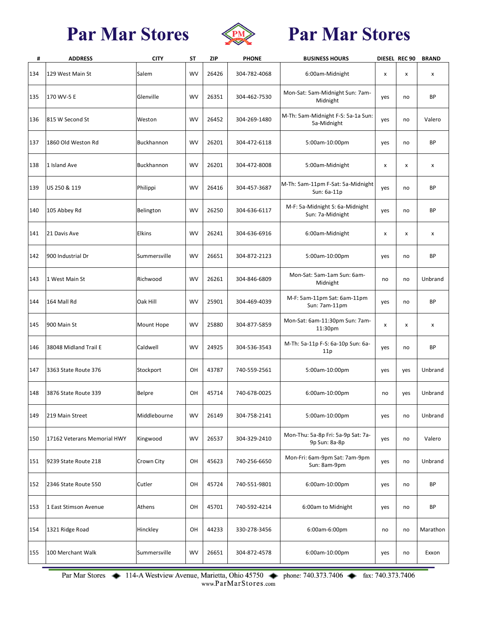

# **Par Mar Stores**

| #   | <b>ADDRESS</b>              | <b>CITY</b>       | ST        | <b>ZIP</b> | <b>PHONE</b> | <b>BUSINESS HOURS</b>                               |     | DIESEL REC 90 | <b>BRAND</b> |
|-----|-----------------------------|-------------------|-----------|------------|--------------|-----------------------------------------------------|-----|---------------|--------------|
| 134 | 129 West Main St            | Salem             | <b>WV</b> | 26426      | 304-782-4068 | 6:00am-Midnight                                     | x   | x             | x            |
| 135 | 170 WV-5 E                  | Glenville         | <b>WV</b> | 26351      | 304-462-7530 | Mon-Sat: 5am-Midnight Sun: 7am-<br>Midnight         | yes | no            | <b>BP</b>    |
| 136 | 815 W Second St             | Weston            | <b>WV</b> | 26452      | 304-269-1480 | M-Th: 5am-Midnight F-S: 5a-1a Sun:<br>5a-Midnight   | yes | no            | Valero       |
| 137 | 1860 Old Weston Rd          | <b>Buckhannon</b> | <b>WV</b> | 26201      | 304-472-6118 | 5:00am-10:00pm                                      | yes | no            | <b>BP</b>    |
| 138 | 1 Island Ave                | Buckhannon        | <b>WV</b> | 26201      | 304-472-8008 | 5:00am-Midnight                                     | x   | x             | X            |
| 139 | US 250 & 119                | Philippi          | <b>WV</b> | 26416      | 304-457-3687 | M-Th: 5am-11pm F-Sat: 5a-Midnight<br>Sun: 6a-11p    | yes | no            | <b>BP</b>    |
| 140 | 105 Abbey Rd                | Belington         | <b>WV</b> | 26250      | 304-636-6117 | M-F: 5a-Midnight S: 6a-Midnight<br>Sun: 7a-Midnight | yes | no            | <b>BP</b>    |
| 141 | 21 Davis Ave                | Elkins            | <b>WV</b> | 26241      | 304-636-6916 | 6:00am-Midnight                                     | x   | x             | x            |
| 142 | 900 Industrial Dr           | Summersville      | <b>WV</b> | 26651      | 304-872-2123 | 5:00am-10:00pm                                      | yes | no            | <b>BP</b>    |
| 143 | 1 West Main St              | Richwood          | <b>WV</b> | 26261      | 304-846-6809 | Mon-Sat: 5am-1am Sun: 6am-<br>Midnight              | no  | no            | Unbrand      |
| 144 | 164 Mall Rd                 | Oak Hill          | <b>WV</b> | 25901      | 304-469-4039 | M-F: 5am-11pm Sat: 6am-11pm<br>Sun: 7am-11pm        | yes | no            | <b>BP</b>    |
| 145 | 900 Main St                 | Mount Hope        | <b>WV</b> | 25880      | 304-877-5859 | Mon-Sat: 6am-11:30pm Sun: 7am-<br>11:30pm           | x   | x             | X            |
| 146 | 38048 Midland Trail E       | Caldwell          | <b>WV</b> | 24925      | 304-536-3543 | M-Th: 5a-11p F-S: 6a-10p Sun: 6a-<br>11p            | yes | no            | BP           |
| 147 | 3363 State Route 376        | Stockport         | OH        | 43787      | 740-559-2561 | 5:00am-10:00pm                                      | yes | yes           | Unbrand      |
| 148 | 3876 State Route 339        | <b>Belpre</b>     | OН        | 45714      | 740-678-0025 | 6:00am-10:00pm                                      | no  | yes           | Unbrand      |
| 149 | 219 Main Street             | Middlebourne      | WV        | 26149      | 304-758-2141 | 5:00am-10:00pm                                      | yes | no            | Unbrand      |
| 150 | 17162 Veterans Memorial HWY | Kingwood          | <b>WV</b> | 26537      | 304-329-2410 | Mon-Thu: 5a-8p Fri: 5a-9p Sat: 7a-<br>9p Sun: 8a-8p | yes | no            | Valero       |
| 151 | 9239 State Route 218        | Crown City        | OН        | 45623      | 740-256-6650 | Mon-Fri: 6am-9pm Sat: 7am-9pm<br>Sun: 8am-9pm       | yes | no            | Unbrand      |
| 152 | 2346 State Route 550        | Cutler            | OН        | 45724      | 740-551-9801 | 6:00am-10:00pm                                      | yes | no            | BP           |
| 153 | 1 East Stimson Avenue       | Athens            | OH        | 45701      | 740-592-4214 | 6:00am to Midnight                                  | yes | no            | BP           |
| 154 | 1321 Ridge Road             | Hinckley          | OH        | 44233      | 330-278-3456 | 6:00am-6:00pm                                       | no  | no            | Marathon     |
| 155 | 100 Merchant Walk           | Summersville      | WV        | 26651      | 304-872-4578 | 6:00am-10:00pm                                      | yes | no            | Exxon        |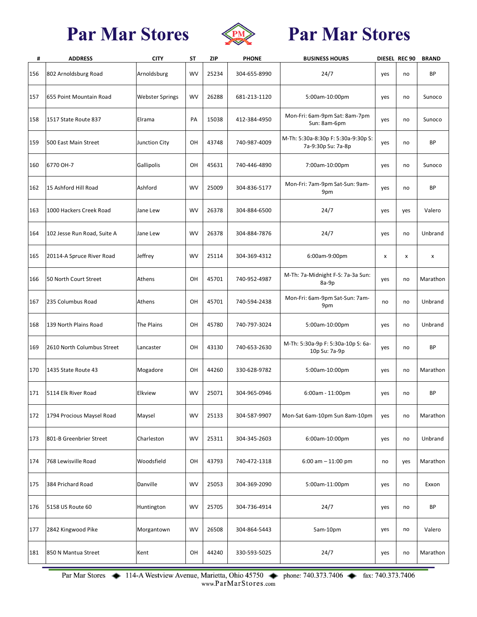

# **Par Mar Stores**

| #   | <b>ADDRESS</b>              | <b>CITY</b>            | <b>ST</b> | <b>ZIP</b> | <b>PHONE</b> | <b>BUSINESS HOURS</b>                                     |     | DIESEL REC 90 | <b>BRAND</b> |
|-----|-----------------------------|------------------------|-----------|------------|--------------|-----------------------------------------------------------|-----|---------------|--------------|
| 156 | 802 Arnoldsburg Road        | Arnoldsburg            | <b>WV</b> | 25234      | 304-655-8990 | 24/7                                                      | yes | no            | ВP           |
| 157 | 655 Point Mountain Road     | <b>Webster Springs</b> | <b>WV</b> | 26288      | 681-213-1120 | 5:00am-10:00pm                                            | yes | no            | Sunoco       |
| 158 | 1517 State Route 837        | Elrama                 | PA        | 15038      | 412-384-4950 | Mon-Fri: 6am-9pm Sat: 8am-7pm<br>Sun: 8am-6pm             | yes | no            | Sunoco       |
| 159 | 500 East Main Street        | <b>Junction City</b>   | OH        | 43748      | 740-987-4009 | M-Th: 5:30a-8:30p F: 5:30a-9:30p S:<br>7a-9:30p Su: 7a-8p | yes | no            | ВP           |
| 160 | 6770 OH-7                   | Gallipolis             | OH        | 45631      | 740-446-4890 | 7:00am-10:00pm                                            | yes | no            | Sunoco       |
| 162 | 15 Ashford Hill Road        | Ashford                | <b>WV</b> | 25009      | 304-836-5177 | Mon-Fri: 7am-9pm Sat-Sun: 9am-<br>9pm                     | yes | no            | BP           |
| 163 | 1000 Hackers Creek Road     | Jane Lew               | <b>WV</b> | 26378      | 304-884-6500 | 24/7                                                      | yes | yes           | Valero       |
| 164 | 102 Jesse Run Road, Suite A | Jane Lew               | <b>WV</b> | 26378      | 304-884-7876 | 24/7                                                      | yes | no            | Unbrand      |
| 165 | 20114-A Spruce River Road   | Jeffrey                | <b>WV</b> | 25114      | 304-369-4312 | 6:00am-9:00pm                                             | X   | X             | X            |
| 166 | 50 North Court Street       | Athens                 | OН        | 45701      | 740-952-4987 | M-Th: 7a-Midnight F-S: 7a-3a Sun:<br>8a-9p                | yes | no            | Marathon     |
| 167 | 235 Columbus Road           | Athens                 | OН        | 45701      | 740-594-2438 | Mon-Fri: 6am-9pm Sat-Sun: 7am-<br>9pm                     | no  | no            | Unbrand      |
| 168 | 139 North Plains Road       | The Plains             | OH        | 45780      | 740-797-3024 | 5:00am-10:00pm                                            | yes | no            | Unbrand      |
| 169 | 2610 North Columbus Street  | Lancaster              | OH        | 43130      | 740-653-2630 | M-Th: 5:30a-9p F: 5:30a-10p S: 6a-<br>10p Su: 7a-9p       | yes | no            | ВP           |
| 170 | 1435 State Route 43         | Mogadore               | OH        | 44260      | 330-628-9782 | 5:00am-10:00pm                                            | yes | no            | Marathon     |
| 171 | 5114 Elk River Road         | Elkview                | <b>WV</b> | 25071      | 304-965-0946 | 6:00am - 11:00pm                                          | yes | no            | ВP           |
| 172 | 1794 Procious Maysel Road   | Maysel                 | <b>WV</b> | 25133      | 304-587-9907 | Mon-Sat 6am-10pm Sun 8am-10pm                             | yes | no            | Marathon     |
| 173 | 801-B Greenbrier Street     | Charleston             | <b>WV</b> | 25311      | 304-345-2603 | 6:00am-10:00pm                                            | yes | no            | Unbrand      |
| 174 | 768 Lewisville Road         | Woodsfield             | OН        | 43793      | 740-472-1318 | $6:00$ am $-11:00$ pm                                     | no  | yes           | Marathon     |
| 175 | 384 Prichard Road           | Danville               | <b>WV</b> | 25053      | 304-369-2090 | 5:00am-11:00pm                                            | yes | no            | Exxon        |
| 176 | 5158 US Route 60            | Huntington             | <b>WV</b> | 25705      | 304-736-4914 | 24/7                                                      | yes | no            | ВP           |
| 177 | 2842 Kingwood Pike          | Morgantown             | <b>WV</b> | 26508      | 304-864-5443 | 5am-10pm                                                  | yes | no            | Valero       |
| 181 | 850 N Mantua Street         | Kent                   | OH        | 44240      | 330-593-5025 | 24/7                                                      | yes | no            | Marathon     |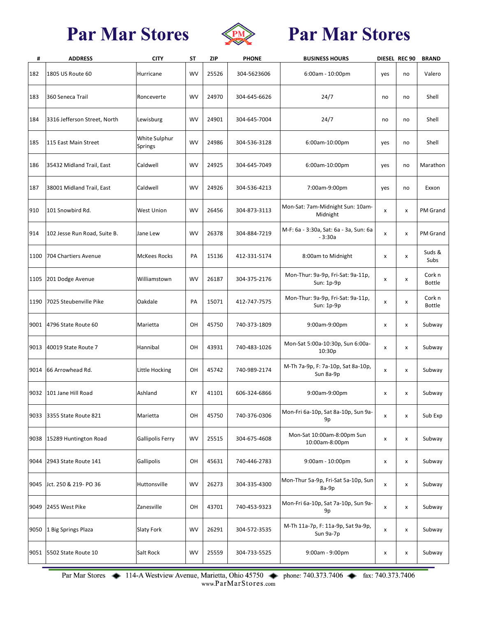

# **Par Mar Stores**

| #    | <b>ADDRESS</b>               | <b>CITY</b>                     | ST        | ZIP   | <b>PHONE</b> | <b>BUSINESS HOURS</b>                              |     | DIESEL REC 90 | <b>BRAND</b>            |
|------|------------------------------|---------------------------------|-----------|-------|--------------|----------------------------------------------------|-----|---------------|-------------------------|
| 182  | 1805 US Route 60             | Hurricane                       | <b>WV</b> | 25526 | 304-5623606  | $6:00am - 10:00pm$                                 | yes | no            | Valero                  |
| 183  | 360 Seneca Trail             | Ronceverte                      | <b>WV</b> | 24970 | 304-645-6626 | 24/7                                               | no  | no            | Shell                   |
| 184  | 3316 Jefferson Street, North | Lewisburg                       | <b>WV</b> | 24901 | 304-645-7004 | 24/7                                               | no  | no            | Shell                   |
| 185  | 115 East Main Street         | <b>White Sulphur</b><br>Springs | <b>WV</b> | 24986 | 304-536-3128 | 6:00am-10:00pm                                     | yes | no            | Shell                   |
| 186  | 35432 Midland Trail, East    | Caldwell                        | <b>WV</b> | 24925 | 304-645-7049 | 6:00am-10:00pm                                     | yes | no            | Marathon                |
| 187  | 38001 Midland Trail, East    | Caldwell                        | <b>WV</b> | 24926 | 304-536-4213 | 7:00am-9:00pm                                      | yes | no            | Exxon                   |
| 910  | 101 Snowbird Rd.             | <b>West Union</b>               | <b>WV</b> | 26456 | 304-873-3113 | Mon-Sat: 7am-Midnight Sun: 10am-<br>Midnight       | x   | x             | PM Grand                |
| 914  | 102 Jesse Run Road, Suite B. | Jane Lew                        | <b>WV</b> | 26378 | 304-884-7219 | M-F: 6a - 3:30a, Sat: 6a - 3a, Sun: 6a<br>$-3:30a$ | x   | x             | PM Grand                |
| 1100 | 704 Chartiers Avenue         | <b>McKees Rocks</b>             | PA        | 15136 | 412-331-5174 | 8:00am to Midnight                                 | x   | x             | Suds &<br>Subs          |
| 1105 | 201 Dodge Avenue             | Williamstown                    | <b>WV</b> | 26187 | 304-375-2176 | Mon-Thur: 9a-9p, Fri-Sat: 9a-11p,<br>Sun: 1p-9p    | x   | x             | Cork n<br><b>Bottle</b> |
|      | 1190 7025 Steubenville Pike  | Oakdale                         | PA        | 15071 | 412-747-7575 | Mon-Thur: 9a-9p, Fri-Sat: 9a-11p,<br>Sun: 1p-9p    | x   | x             | Cork n<br><b>Bottle</b> |
|      | 9001 4796 State Route 60     | Marietta                        | OH        | 45750 | 740-373-1809 | 9:00am-9:00pm                                      | x   | x             | Subway                  |
| 9013 | 40019 State Route 7          | Hannibal                        | OH        | 43931 | 740-483-1026 | Mon-Sat 5:00a-10:30p, Sun 6:00a-<br>10:30p         | x   | x             | Subway                  |
| 9014 | 66 Arrowhead Rd.             | Little Hocking                  | OH        | 45742 | 740-989-2174 | M-Th 7a-9p, F: 7a-10p, Sat 8a-10p,<br>Sun 8a-9p    | x   | x             | Subway                  |
| 9032 | 101 Jane Hill Road           | Ashland                         | KY        | 41101 | 606-324-6866 | 9:00am-9:00pm                                      | x   | x             | Subway                  |
| 9033 | 3355 State Route 821         | Marietta                        | OН        | 45750 | 740-376-0306 | Mon-Fri 6a-10p, Sat 8a-10p, Sun 9a-<br>9p          | X   | X             | Sub Exp                 |
| 9038 | 15289 Huntington Road        | <b>Gallipolis Ferry</b>         | WV        | 25515 | 304-675-4608 | Mon-Sat 10:00am-8:00pm Sun<br>10:00am-8:00pm       | X   | x             | Subway                  |
| 9044 | 2943 State Route 141         | Gallipolis                      | OH        | 45631 | 740-446-2783 | 9:00am - 10:00pm                                   | X   | x             | Subway                  |
| 9045 | Jct. 250 & 219- PO 36        | Huttonsville                    | WV        | 26273 | 304-335-4300 | Mon-Thur 5a-9p, Fri-Sat 5a-10p, Sun<br>8a-9p       | x   | x             | Subway                  |
| 9049 | 2455 West Pike               | Zanesville                      | OН        | 43701 | 740-453-9323 | Mon-Fri 6a-10p, Sat 7a-10p, Sun 9a-<br>9p          | X   | x             | Subway                  |
| 9050 | 1 Big Springs Plaza          | Slaty Fork                      | WV        | 26291 | 304-572-3535 | M-Th 11a-7p, F: 11a-9p, Sat 9a-9p,<br>Sun 9a-7p    | X   | x             | Subway                  |
|      | 9051 5502 State Route 10     | Salt Rock                       | WV        | 25559 | 304-733-5525 | 9:00am - 9:00pm                                    | x   | x             | Subway                  |